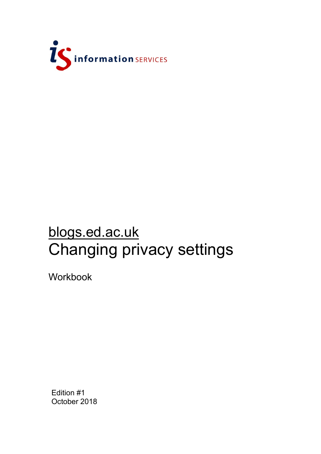

## blogs.ed.ac.uk Changing privacy settings

**Workbook** 

Edition #1 October 2018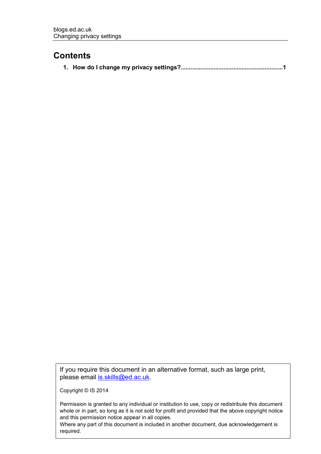## **Contents**

If you require this document in an alternative format, such as large print, please email [is.skills@ed.ac.uk.](mailto:is.skills@ed.ac.uk)

Copyright © IS 2014

Permission is granted to any individual or institution to use, copy or redistribute this document whole or in part, so long as it is not sold for profit and provided that the above copyright notice and this permission notice appear in all copies.

Where any part of this document is included in another document, due acknowledgement is required.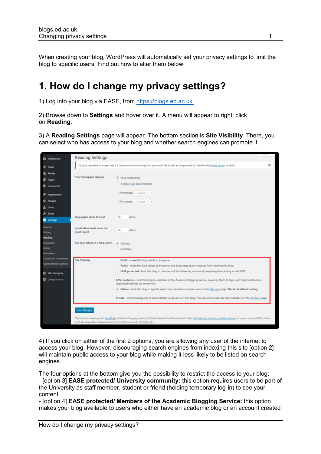When creating your blog, WordPress will automatically set your privacy settings to limit the blog to specific users. Find out how to alter them below.

## **1. How do I change my privacy settings?**

1) Log into your blog via EASE, from [https://blogs.ed.ac.uk.](https://blogs.ed.ac.uk/)

2) Browse down to **Settings** and hover over it. A menu will appear to right: click on **Reading**.

3) A **Reading Settings** page will appear. The bottom section is **Site Visibility**. There, you can select who has access to your blog and whether search engines can promote it.

| <b>B</b> Dashboard                                   | <b>Reading Settings</b>                                               |                                                                                                                                                                                                                                                                                  |   |
|------------------------------------------------------|-----------------------------------------------------------------------|----------------------------------------------------------------------------------------------------------------------------------------------------------------------------------------------------------------------------------------------------------------------------------|---|
| Posts                                                |                                                                       | You just uploaded an image. Was it a Creative Commons image that you would like to add an image credit to? Head to the Media Library to add it.                                                                                                                                  | ۰ |
| 91 Media<br>Pages                                    | Your homepage displays                                                | · Your latest posts                                                                                                                                                                                                                                                              |   |
| Comments                                             |                                                                       | A static page (select below)                                                                                                                                                                                                                                                     |   |
| Appearance                                           |                                                                       | Homepage: - Select - *                                                                                                                                                                                                                                                           |   |
| <b>C</b> Plugins<br>Users س                          |                                                                       | Posts page: - Select - *                                                                                                                                                                                                                                                         |   |
| Tools<br><b>ER</b> Settings                          | <b>Blog pages show at most</b>                                        | 10<br>posts                                                                                                                                                                                                                                                                      |   |
| General<br>Writing<br>Reading                        | Syndication feeds show the<br>most recent                             | 10<br>items                                                                                                                                                                                                                                                                      |   |
| <b>Discussion</b>                                    | For each article in a feed, show                                      | · Full text                                                                                                                                                                                                                                                                      |   |
| Media<br><b>Permalinks</b>                           |                                                                       | Summary                                                                                                                                                                                                                                                                          |   |
| <b>Cookies for Comments</b><br>OpenAttribute Options | <b>Site Visibility</b>                                                | Public - make this blog visible to everyone<br>Public - make this blog visible to everyone, but discourage search engines from indexing this blog                                                                                                                                |   |
| C Site Category<br>Collapse menu                     |                                                                       | EASE protected - limit this blog to members of the University community, requiring them to log in with EASE<br>EASE protected - limit this blog to members of the Academic Blogging Service, requiring them to log in with EASE and to be a<br>registered member on the service. |   |
|                                                      |                                                                       | . Private - limit this blog to specific users. You can add or remove users on the All Users page. This is the default setting<br>Private - limit this blog only to administrator-level users on this blog. You can control who are administrators on the All Users page          |   |
|                                                      | Save Changes                                                          |                                                                                                                                                                                                                                                                                  |   |
|                                                      | by DLAM Applications Development Team at the University of Edinburgh. | Thank you for creating with WordPress. Academic Blogging Service by DLAM Applications Development Team. Get help and support using the service (Ink opens in new tab) EdGEL theme                                                                                                |   |

4) If you click on either of the first 2 options, you are allowing any user of the internet to access your blog. However, discouraging search engines from indexing this site [option 2] will maintain public access to your blog while making it less likely to be listed on search engines.

The four options at the bottom give you the possibility to restrict the access to your blog: - [option 3] **EASE protected/ University community:** this option requires users to be part of the University as staff member, student or friend (holding temporary log-in) to see your content.

- [option 4] **EASE protected/ Members of the Academic Blogging Service:** this option makes your blog available to users who either have an academic blog or an account created